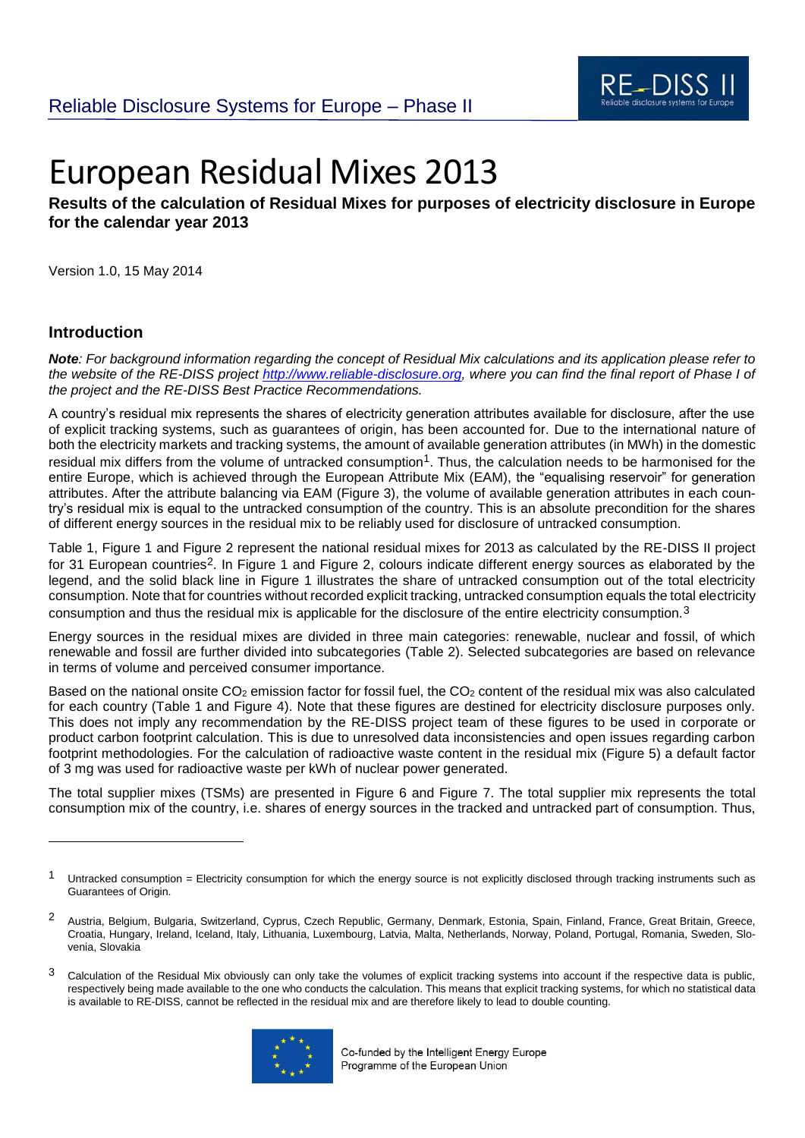

# European Residual Mixes 2013

## **Results of the calculation of Residual Mixes for purposes of electricity disclosure in Europe for the calendar year 2013**

Version 1.0, 15 May 2014

#### **Introduction**

-

*Note: For background information regarding the concept of Residual Mix calculations and its application please refer to the website of the RE-DISS project [http://www.reliable-disclosure.org,](http://www.reliable-disclosure.org/) where you can find the final report of Phase I of the project and the RE-DISS Best Practice Recommendations.*

A country's residual mix represents the shares of electricity generation attributes available for disclosure, after the use of explicit tracking systems, such as guarantees of origin, has been accounted for. Due to the international nature of both the electricity markets and tracking systems, the amount of available generation attributes (in MWh) in the domestic residual mix differs from the volume of untracked consumption<sup>1</sup>. Thus, the calculation needs to be harmonised for the entire Europe, which is achieved through the European Attribute Mix (EAM), the "equalising reservoir" for generation attributes. After the attribute balancing via EAM [\(Figure 3\)](#page-7-0), the volume of available generation attributes in each country's residual mix is equal to the untracked consumption of the country. This is an absolute precondition for the shares of different energy sources in the residual mix to be reliably used for disclosure of untracked consumption.

[Table 1,](#page-3-0) [Figure 1](#page-5-0) and [Figure 2](#page-6-0) represent the national residual mixes for 2013 as calculated by the RE-DISS II project for 31 European countries2. In [Figure 1](#page-5-0) and [Figure 2,](#page-6-0) colours indicate different energy sources as elaborated by the legend, and the solid black line in [Figure 1](#page-5-0) illustrates the share of untracked consumption out of the total electricity consumption. Note that for countries without recorded explicit tracking, untracked consumption equals the total electricity consumption and thus the residual mix is applicable for the disclosure of the entire electricity consumption.3

Energy sources in the residual mixes are divided in three main categories: renewable, nuclear and fossil, of which renewable and fossil are further divided into subcategories [\(Table 2\)](#page-21-0). Selected subcategories are based on relevance in terms of volume and perceived consumer importance.

Based on the national onsite  $CO<sub>2</sub>$  emission factor for fossil fuel, the  $CO<sub>2</sub>$  content of the residual mix was also calculated for each country [\(Table 1](#page-3-0) and [Figure 4\)](#page-8-0). Note that these figures are destined for electricity disclosure purposes only. This does not imply any recommendation by the RE-DISS project team of these figures to be used in corporate or product carbon footprint calculation. This is due to unresolved data inconsistencies and open issues regarding carbon footprint methodologies. For the calculation of radioactive waste content in the residual mix [\(Figure 5\)](#page-8-1) a default factor of 3 mg was used for radioactive waste per kWh of nuclear power generated.

The total supplier mixes (TSMs) are presented in [Figure 6](#page-9-0) and [Figure 7.](#page-10-0) The total supplier mix represents the total consumption mix of the country, i.e. shares of energy sources in the tracked and untracked part of consumption. Thus,

<sup>&</sup>lt;sup>3</sup> Calculation of the Residual Mix obviously can only take the volumes of explicit tracking systems into account if the respective data is public, respectively being made available to the one who conducts the calculation. This means that explicit tracking systems, for which no statistical data is available to RE-DISS, cannot be reflected in the residual mix and are therefore likely to lead to double counting.



<sup>&</sup>lt;sup>1</sup> Untracked consumption = Electricity consumption for which the energy source is not explicitly disclosed through tracking instruments such as Guarantees of Origin.

<sup>&</sup>lt;sup>2</sup> Austria, Belgium, Bulgaria, Switzerland, Cyprus, Czech Republic, Germany, Denmark, Estonia, Spain, Finland, France, Great Britain, Greece, Croatia, Hungary, Ireland, Iceland, Italy, Lithuania, Luxembourg, Latvia, Malta, Netherlands, Norway, Poland, Portugal, Romania, Sweden, Slovenia, Slovakia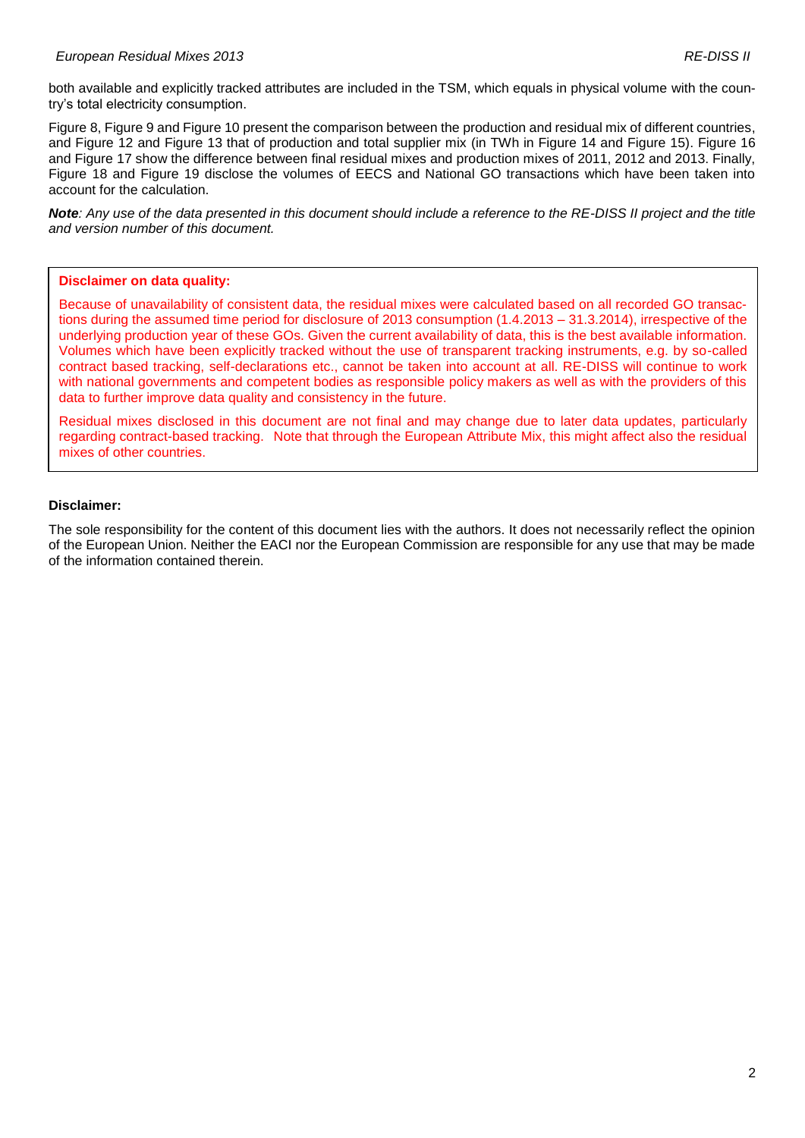both available and explicitly tracked attributes are included in the TSM, which equals in physical volume with the country's total electricity consumption.

[Figure 8,](#page-11-0) [Figure 9](#page-12-0) and [Figure 10](#page-13-0) present the comparison between the production and residual mix of different countries, and [Figure 12](#page-15-0) and [Figure 13](#page-16-0) that of production and total supplier mix (in TWh in [Figure 14](#page-17-0) and [Figure 15\)](#page-18-0). [Figure 16](#page-19-0) and [Figure 17](#page-19-1) show the difference between final residual mixes and production mixes of 2011, 2012 and 2013. Finally, [Figure 18](#page-20-0) and [Figure 19](#page-20-1) disclose the volumes of EECS and National GO transactions which have been taken into account for the calculation.

*Note: Any use of the data presented in this document should include a reference to the RE-DISS II project and the title and version number of this document.*

#### **Disclaimer on data quality:**

Because of unavailability of consistent data, the residual mixes were calculated based on all recorded GO transactions during the assumed time period for disclosure of 2013 consumption (1.4.2013 – 31.3.2014), irrespective of the underlying production year of these GOs. Given the current availability of data, this is the best available information. Volumes which have been explicitly tracked without the use of transparent tracking instruments, e.g. by so-called contract based tracking, self-declarations etc., cannot be taken into account at all. RE-DISS will continue to work with national governments and competent bodies as responsible policy makers as well as with the providers of this data to further improve data quality and consistency in the future.

Residual mixes disclosed in this document are not final and may change due to later data updates, particularly regarding contract-based tracking. Note that through the European Attribute Mix, this might affect also the residual mixes of other countries.

#### **Disclaimer:**

The sole responsibility for the content of this document lies with the authors. It does not necessarily reflect the opinion of the European Union. Neither the EACI nor the European Commission are responsible for any use that may be made of the information contained therein.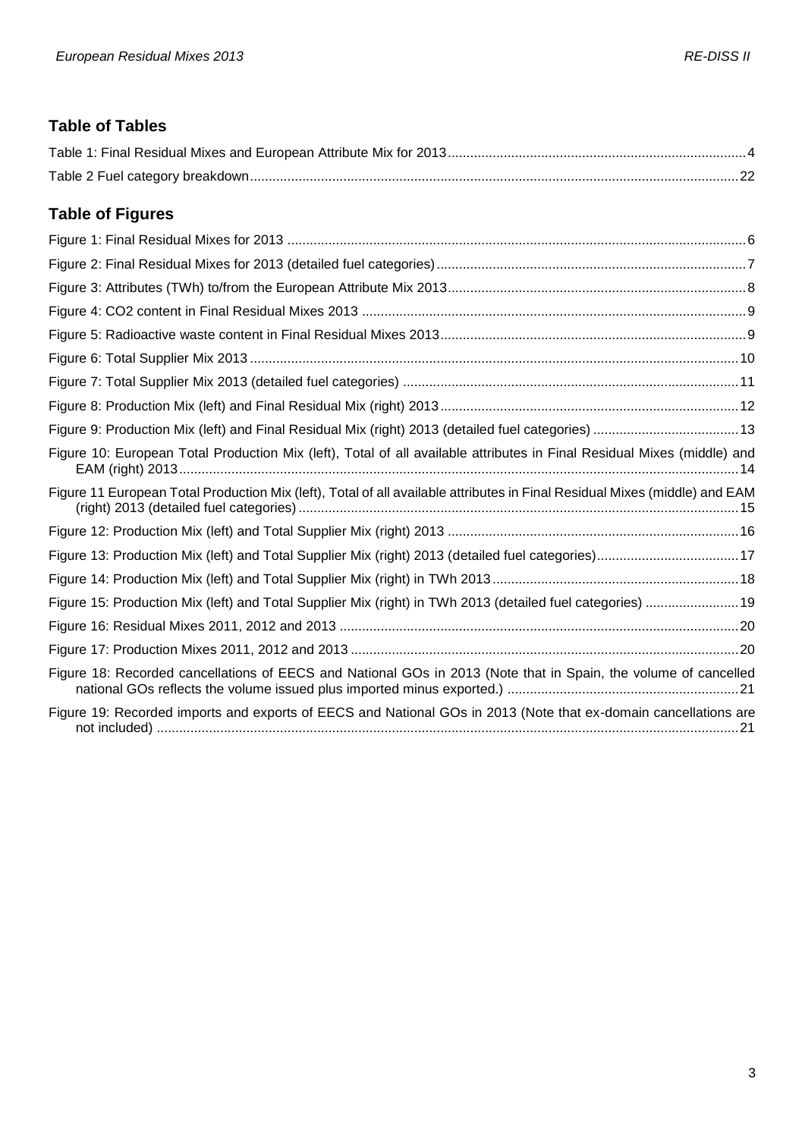## **Table of Tables**

## **Table of Figures**

| Figure 10: European Total Production Mix (left), Total of all available attributes in Final Residual Mixes (middle) and    |
|----------------------------------------------------------------------------------------------------------------------------|
| Figure 11 European Total Production Mix (left), Total of all available attributes in Final Residual Mixes (middle) and EAM |
|                                                                                                                            |
|                                                                                                                            |
|                                                                                                                            |
| Figure 15: Production Mix (left) and Total Supplier Mix (right) in TWh 2013 (detailed fuel categories)  19                 |
|                                                                                                                            |
|                                                                                                                            |
| Figure 18: Recorded cancellations of EECS and National GOs in 2013 (Note that in Spain, the volume of cancelled            |
| Figure 19: Recorded imports and exports of EECS and National GOs in 2013 (Note that ex-domain cancellations are            |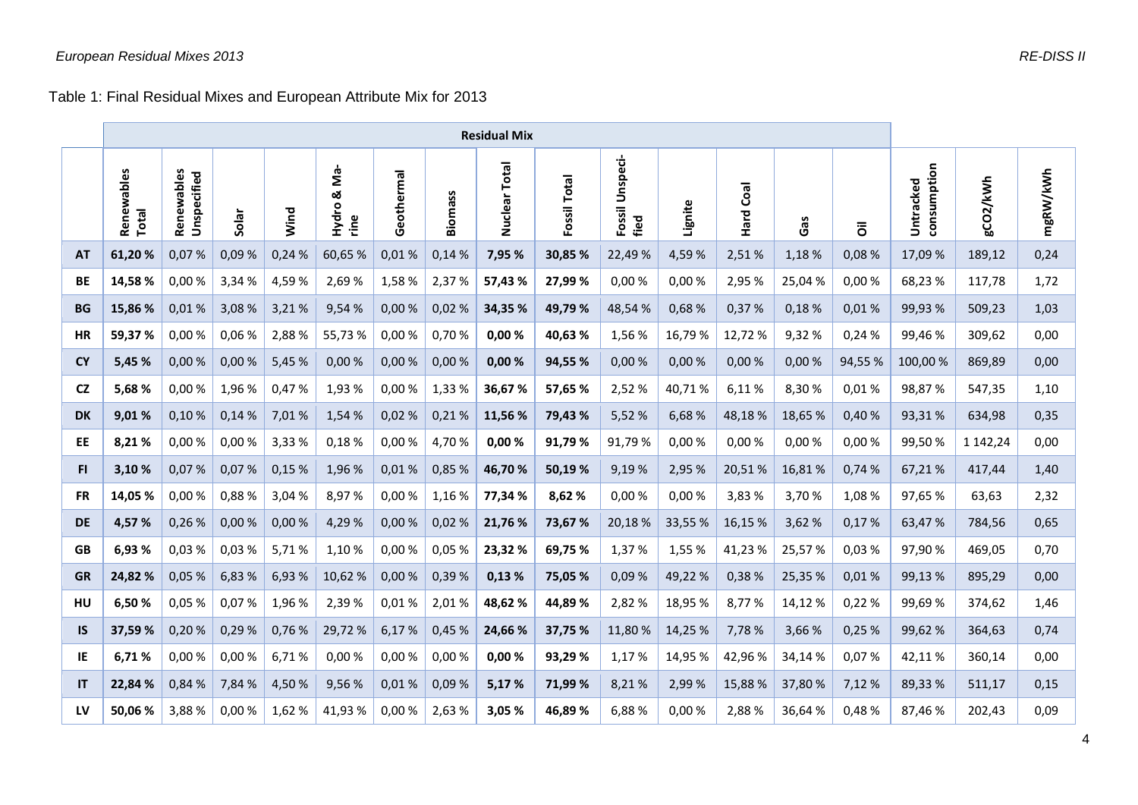Table 1: Final Residual Mixes and European Attribute Mix for 2013

<span id="page-3-0"></span>

|           | <b>Residual Mix</b> |                           |        |        |                          |            |             |                  |                 |                            |         |              |        |        |                          |          |          |
|-----------|---------------------|---------------------------|--------|--------|--------------------------|------------|-------------|------------------|-----------------|----------------------------|---------|--------------|--------|--------|--------------------------|----------|----------|
|           | Renewables<br>Total | Renewables<br>Unspecified | Solar  | Wind   | Š-<br>ఱ<br>Hydro<br>rine | Geothermal | S<br>Biomas | Total<br>Nuclear | Total<br>Fossil | Unspeci-<br>Fossil<br>fied | Lignite | Coal<br>Hard | Gas    | ā      | consumption<br>Untracked | gCO2/kWh | mgRW/kWh |
| AT        | 61,20%              | 0,07%                     | 0,09%  | 0,24%  | 60,65%                   | 0,01%      | 0,14%       | 7,95 %           | 30,85 %         | 22,49%                     | 4,59%   | 2,51%        | 1,18 % | 0,08%  | 17,09 %                  | 189,12   | 0,24     |
| <b>BE</b> | 14,58%              | 0,00%                     | 3,34 % | 4,59%  | 2,69 %                   | 1,58%      | 2,37%       | 57,43%           | 27,99 %         | 0,00%                      | 0,00%   | 2,95 %       | 25,04% | 0,00%  | 68,23%                   | 117,78   | 1,72     |
| <b>BG</b> | 15,86 %             | 0,01%                     | 3,08 % | 3,21%  | 9,54 %                   | 0,00%      | 0,02%       | 34,35 %          | 49,79%          | 48,54 %                    | 0,68%   | 0,37%        | 0,18%  | 0,01%  | 99,93%                   | 509,23   | 1,03     |
| <b>HR</b> | 59,37%              | 0,00%                     | 0,06%  | 2,88%  | 55,73%                   | 0,00 %     | 0,70%       | 0,00%            | 40,63%          | 1,56 %                     | 16,79%  | 12,72%       | 9,32%  | 0,24%  | 99,46%                   | 309,62   | 0,00     |
| <b>CY</b> | 5,45 %              | 0,00%                     | 0,00%  | 5,45 % | 0,00%                    | 0,00%      | 0,00%       | 0,00%            | 94,55 %         | 0,00%                      | 0,00%   | 0,00%        | 0,00%  | 94,55% | 100,00%                  | 869,89   | 0,00     |
| <b>CZ</b> | 5,68%               | 0,00%                     | 1,96 % | 0,47%  | 1,93 %                   | 0,00%      | 1,33 %      | 36,67%           | 57,65 %         | 2,52%                      | 40,71%  | 6,11%        | 8,30%  | 0,01%  | 98,87%                   | 547,35   | 1,10     |
| <b>DK</b> | 9,01%               | 0,10%                     | 0,14%  | 7,01%  | 1,54 %                   | 0,02%      | 0,21%       | 11,56 %          | 79,43 %         | 5,52 %                     | 6,68%   | 48,18%       | 18,65% | 0,40%  | 93,31%                   | 634,98   | 0,35     |
| EE        | 8,21%               | 0,00%                     | 0,00%  | 3,33%  | 0,18%                    | 0,00 %     | 4,70%       | 0,00%            | 91,79%          | 91,79%                     | 0,00%   | 0,00%        | 0,00%  | 0,00 % | 99,50%                   | 1 142,24 | 0,00     |
| FI.       | 3,10%               | 0,07%                     | 0,07%  | 0,15%  | 1,96 %                   | 0,01%      | 0,85 %      | 46,70%           | 50,19%          | 9,19%                      | 2,95 %  | 20,51%       | 16,81% | 0,74%  | 67,21%                   | 417,44   | 1,40     |
| <b>FR</b> | 14,05 %             | 0,00%                     | 0,88%  | 3,04 % | 8,97%                    | 0,00%      | 1,16%       | 77,34 %          | 8,62 %          | 0,00%                      | 0,00%   | 3,83%        | 3,70%  | 1,08 % | 97,65 %                  | 63,63    | 2,32     |
| <b>DE</b> | 4,57%               | 0,26%                     | 0,00%  | 0,00%  | 4,29 %                   | 0,00%      | 0,02%       | 21,76 %          | 73,67 %         | 20,18 %                    | 33,55%  | 16,15%       | 3,62 % | 0,17%  | 63,47%                   | 784,56   | 0,65     |
| <b>GB</b> | 6,93%               | 0,03%                     | 0,03%  | 5,71%  | 1,10%                    | 0,00 %     | 0,05%       | 23,32%           | 69,75 %         | 1,37%                      | 1,55 %  | 41,23%       | 25,57% | 0,03%  | 97,90%                   | 469,05   | 0,70     |
| <b>GR</b> | 24,82%              | 0,05%                     | 6,83 % | 6,93%  | 10,62%                   | 0,00%      | 0,39%       | 0,13%            | 75,05 %         | 0,09%                      | 49,22%  | 0,38%        | 25,35% | 0,01%  | 99,13%                   | 895,29   | 0,00     |
| HU        | 6,50%               | 0,05 %                    | 0,07%  | 1,96%  | 2,39 %                   | 0,01%      | 2,01%       | 48,62%           | 44,89 %         | 2,82 %                     | 18,95%  | 8,77%        | 14,12% | 0,22 % | 99,69%                   | 374,62   | 1,46     |
| <b>IS</b> | 37,59%              | 0,20%                     | 0,29%  | 0,76%  | 29,72 %                  | 6,17%      | 0,45 %      | 24,66 %          | 37,75 %         | 11,80 %                    | 14,25 % | 7,78%        | 3,66 % | 0,25%  | 99,62%                   | 364,63   | 0,74     |
| IE        | 6,71%               | 0,00%                     | 0,00 % | 6,71%  | 0,00%                    | 0,00%      | 0,00%       | 0,00%            | 93,29%          | 1,17%                      | 14,95%  | 42,96%       | 34,14% | 0,07%  | 42,11%                   | 360,14   | 0,00     |
| IT        | 22,84 %             | 0,84 %                    | 7,84 % | 4,50%  | 9,56%                    | 0,01%      | 0,09%       | 5,17%            | 71,99 %         | 8,21%                      | 2,99%   | 15,88%       | 37,80% | 7,12 % | 89,33%                   | 511,17   | 0,15     |
| LV        | 50,06%              | 3,88%                     | 0,00%  | 1,62 % | 41,93%                   | 0,00%      | 2,63%       | 3,05 %           | 46,89%          | 6,88%                      | 0,00%   | 2,88%        | 36,64% | 0,48%  | 87,46%                   | 202,43   | 0,09     |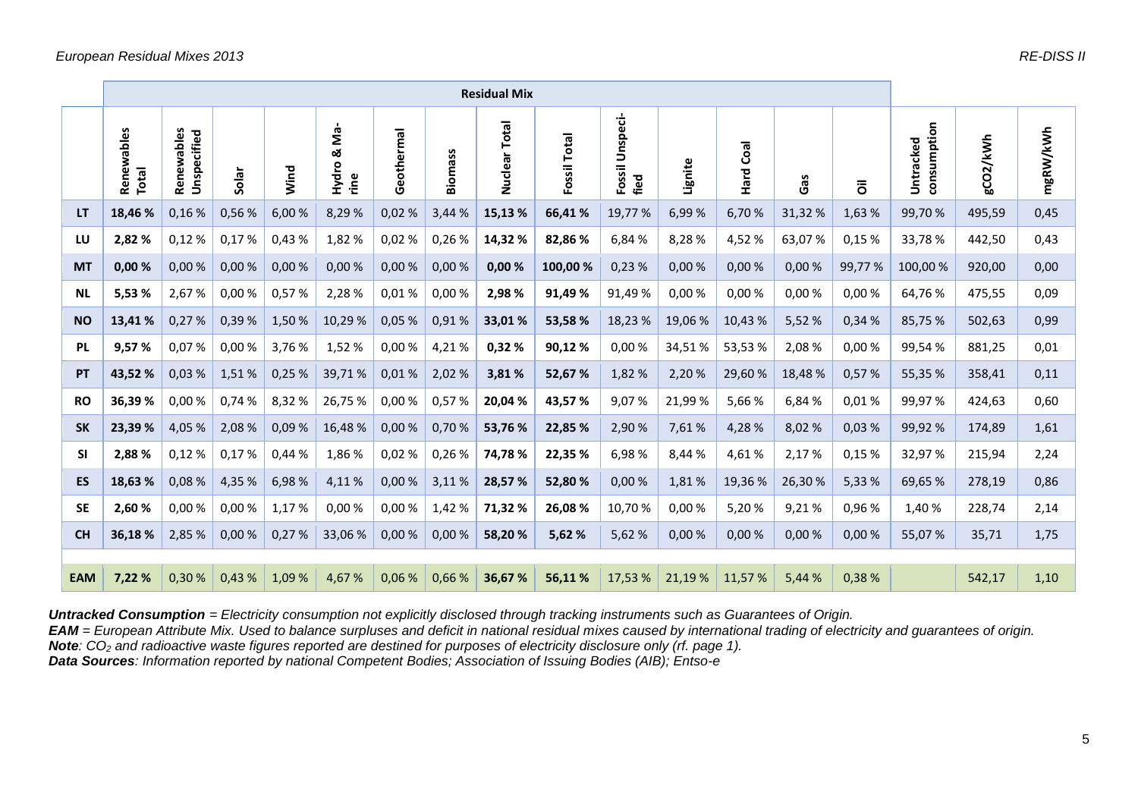|            | <b>Residual Mix</b> |                               |        |        |                                     |            |         |                  |                 |                            |         |              |         |        |                          |          |          |
|------------|---------------------|-------------------------------|--------|--------|-------------------------------------|------------|---------|------------------|-----------------|----------------------------|---------|--------------|---------|--------|--------------------------|----------|----------|
|            | Renewables<br>Total | ewables<br>Unspecified<br>Ren | Solar  | Wind   | က်<br>Σ<br>ఱ<br>Hydro<br><u>ine</u> | Geothermal | Biomass | Total<br>Nuclear | Total<br>Fossil | Unspeci-<br>Fossil<br>fied | Lignite | Coal<br>Hard | Gas     | ៵៑     | consumption<br>Untracked | gCO2/kWh | mgRW/kWh |
| <b>LT</b>  | 18,46 %             | 0,16%                         | 0,56%  | 6,00 % | 8,29 %                              | 0,02%      | 3,44 %  | 15,13 %          | 66,41%          | 19,77 %                    | 6,99 %  | 6,70 %       | 31,32 % | 1,63 % | 99,70 %                  | 495,59   | 0,45     |
| LU         | 2,82%               | 0,12%                         | 0,17%  | 0,43%  | 1,82 %                              | 0,02%      | 0,26%   | 14,32%           | 82,86 %         | 6,84%                      | 8,28%   | 4,52%        | 63,07%  | 0,15 % | 33,78%                   | 442,50   | 0,43     |
| <b>MT</b>  | 0,00%               | 0,00%                         | 0,00%  | 0,00%  | 0,00%                               | 0,00%      | 0,00%   | 0,00%            | 100,00 %        | 0,23%                      | 0,00%   | 0,00%        | 0,00%   | 99,77% | 100,00%                  | 920,00   | 0,00     |
| <b>NL</b>  | 5,53%               | 2,67%                         | 0,00 % | 0,57%  | 2,28 %                              | 0,01%      | 0,00%   | 2,98 %           | 91,49%          | 91,49%                     | 0,00%   | 0,00%        | 0,00%   | 0,00%  | 64,76%                   | 475,55   | 0,09     |
| <b>NO</b>  | 13,41%              | 0,27%                         | 0,39 % | 1,50%  | 10,29%                              | 0,05%      | 0,91%   | 33,01%           | 53,58%          | 18,23%                     | 19,06%  | 10,43%       | 5,52 %  | 0,34%  | 85,75%                   | 502,63   | 0,99     |
| <b>PL</b>  | 9,57%               | 0,07%                         | 0,00%  | 3,76 % | 1,52 %                              | 0,00%      | 4,21%   | 0,32 %           | 90,12%          | 0,00%                      | 34,51%  | 53,53%       | 2,08 %  | 0,00%  | 99,54%                   | 881,25   | 0,01     |
| PT         | 43,52 %             | 0,03%                         | 1,51%  | 0,25%  | 39,71%                              | 0,01%      | 2,02%   | 3,81%            | 52,67 %         | 1,82%                      | 2,20%   | 29,60%       | 18,48 % | 0,57%  | 55,35 %                  | 358,41   | 0,11     |
| <b>RO</b>  | 36,39%              | 0,00%                         | 0,74 % | 8,32%  | 26,75%                              | 0,00%      | 0,57%   | 20,04 %          | 43,57%          | 9,07%                      | 21,99%  | 5,66%        | 6,84 %  | 0,01%  | 99,97%                   | 424,63   | 0,60     |
| <b>SK</b>  | 23,39%              | 4,05 %                        | 2,08 % | 0,09%  | 16,48%                              | 0,00%      | 0,70%   | 53,76 %          | 22,85 %         | 2,90%                      | 7,61%   | 4,28%        | 8,02 %  | 0,03%  | 99,92%                   | 174,89   | 1,61     |
| <b>SI</b>  | 2,88%               | 0,12%                         | 0,17%  | 0,44 % | 1,86 %                              | 0,02%      | 0,26%   | 74,78%           | 22,35 %         | 6,98%                      | 8,44 %  | 4,61%        | 2,17%   | 0,15 % | 32,97%                   | 215,94   | 2,24     |
| <b>ES</b>  | 18,63 %             | 0,08%                         | 4,35 % | 6,98%  | 4,11 %                              | 0,00%      | 3,11 %  | 28,57 %          | 52,80 %         | 0,00%                      | 1,81%   | 19,36 %      | 26,30 % | 5,33 % | 69,65 %                  | 278,19   | 0,86     |
| <b>SE</b>  | 2,60 %              | 0,00%                         | 0,00%  | 1,17 % | 0,00%                               | 0,00%      | 1,42%   | 71,32%           | 26,08%          | 10,70%                     | 0,00%   | 5,20%        | 9,21%   | 0,96%  | 1,40 %                   | 228,74   | 2,14     |
| <b>CH</b>  | 36,18%              | 2,85 %                        | 0,00%  | 0,27%  | 33,06 %                             | 0,00 %     | 0,00%   | 58,20%           | 5,62 %          | 5,62%                      | 0,00%   | 0,00%        | 0,00%   | 0,00%  | 55,07 %                  | 35,71    | 1,75     |
|            |                     |                               |        |        |                                     |            |         |                  |                 |                            |         |              |         |        |                          |          |          |
| <b>EAM</b> | 7,22 %              | 0,30%                         | 0,43%  | 1,09 % | 4,67 %                              | 0,06%      | 0,66 %  | 36,67%           | 56,11%          | 17,53 %                    | 21,19 % | 11,57%       | 5,44 %  | 0,38 % |                          | 542,17   | 1,10     |

*Untracked Consumption = Electricity consumption not explicitly disclosed through tracking instruments such as Guarantees of Origin.*

*EAM = European Attribute Mix. Used to balance surpluses and deficit in national residual mixes caused by international trading of electricity and guarantees of origin.*

*Note: CO<sup>2</sup> and radioactive waste figures reported are destined for purposes of electricity disclosure only (rf. page 1).*

*Data Sources: Information reported by national Competent Bodies; Association of Issuing Bodies (AIB); Entso-e*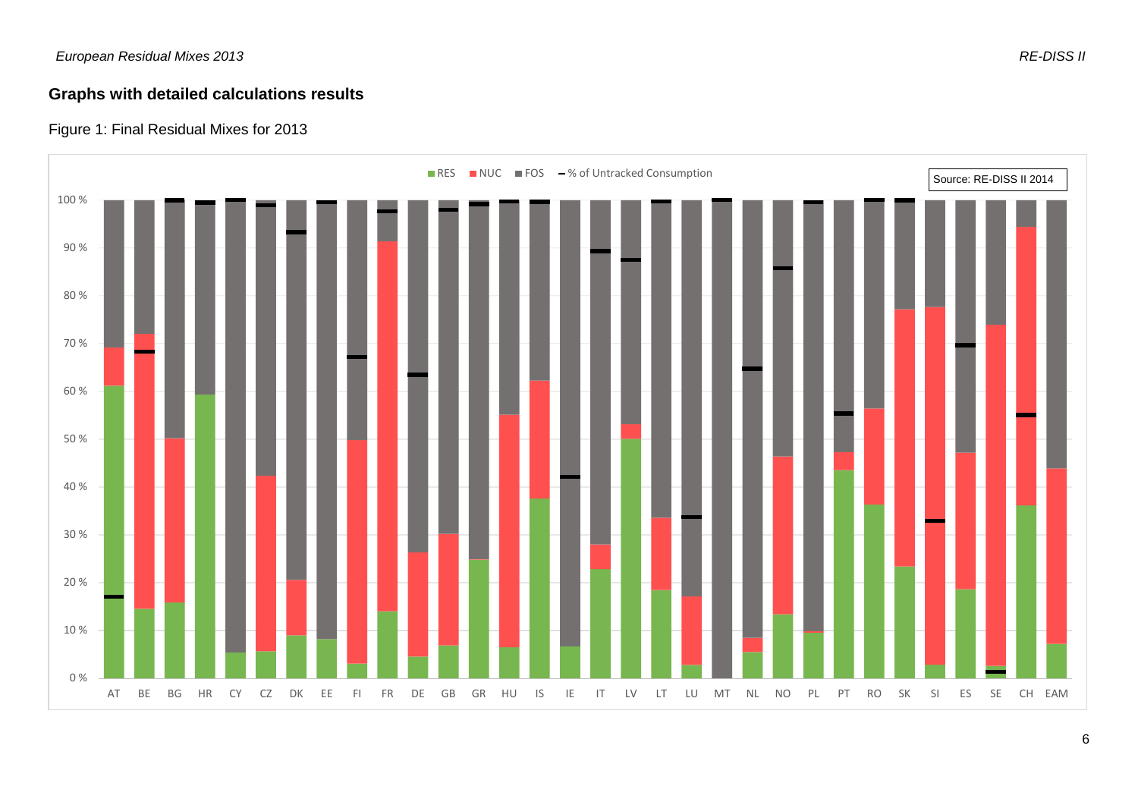## **Graphs with detailed calculations results**

## Figure 1: Final Residual Mixes for 2013

<span id="page-5-0"></span>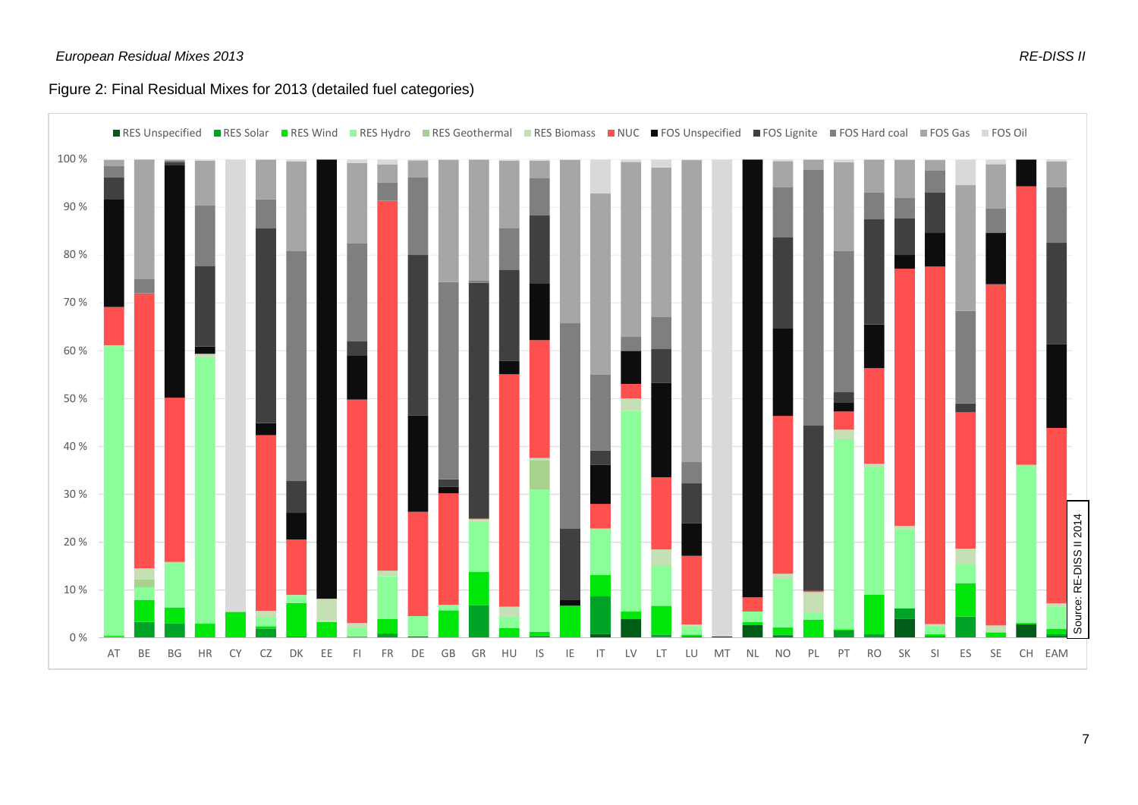#### Figure 2: Final Residual Mixes for 2013 (detailed fuel categories)

<span id="page-6-0"></span>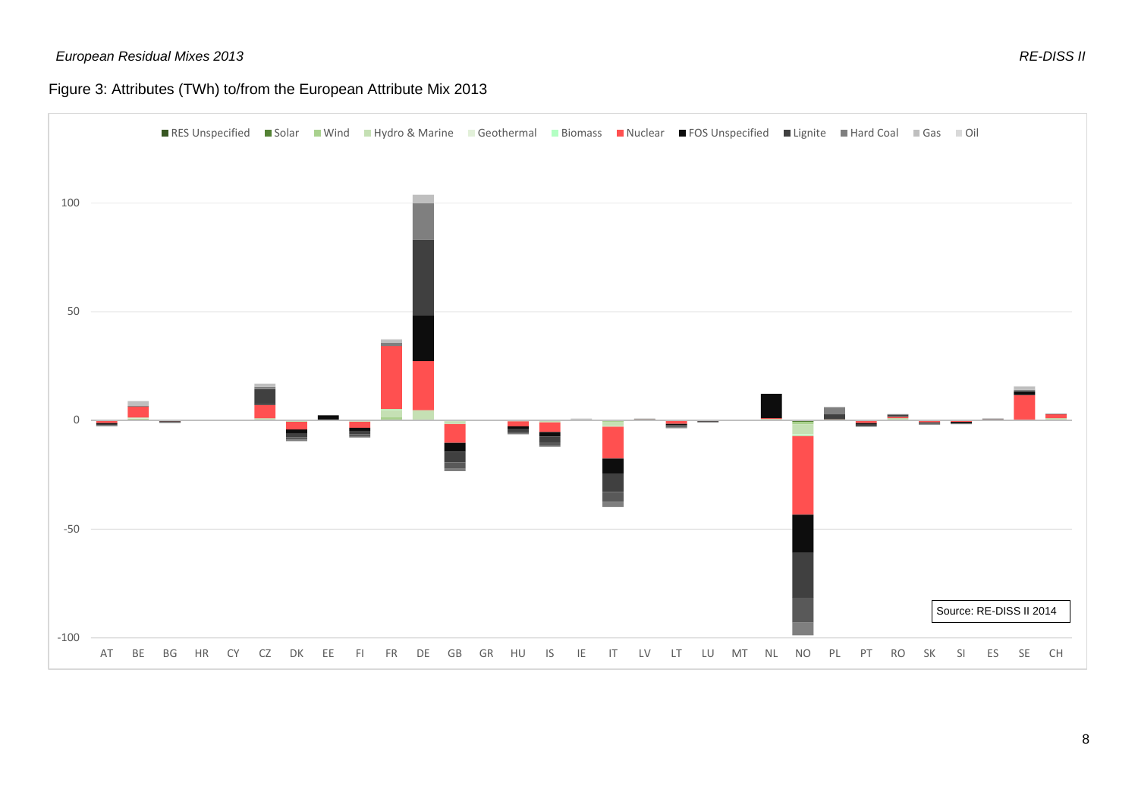## Figure 3: Attributes (TWh) to/from the European Attribute Mix 2013

<span id="page-7-0"></span>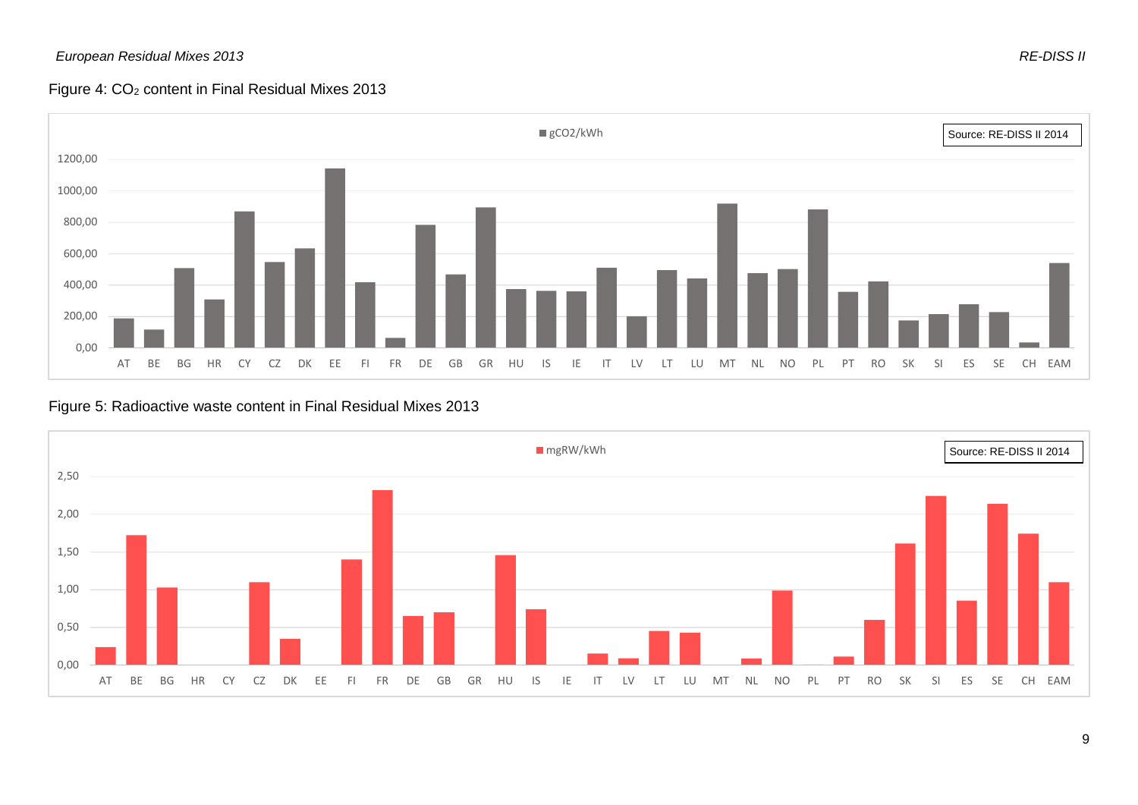#### *European Residual Mixes 2013 RE-DISS II*

#### Figure 4: CO<sub>2</sub> content in Final Residual Mixes 2013



Figure 5: Radioactive waste content in Final Residual Mixes 2013

<span id="page-8-1"></span><span id="page-8-0"></span>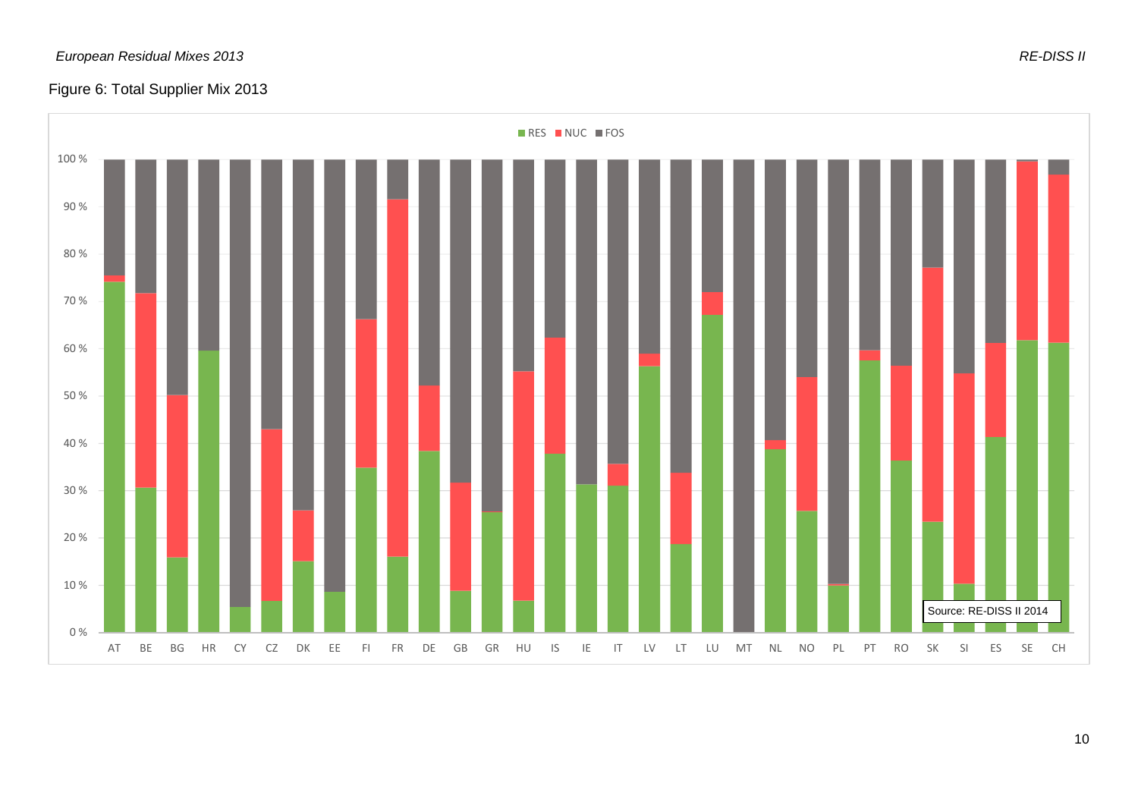#### *European Residual Mixes 2013 RE-DISS II*

## Figure 6: Total Supplier Mix 2013

<span id="page-9-0"></span>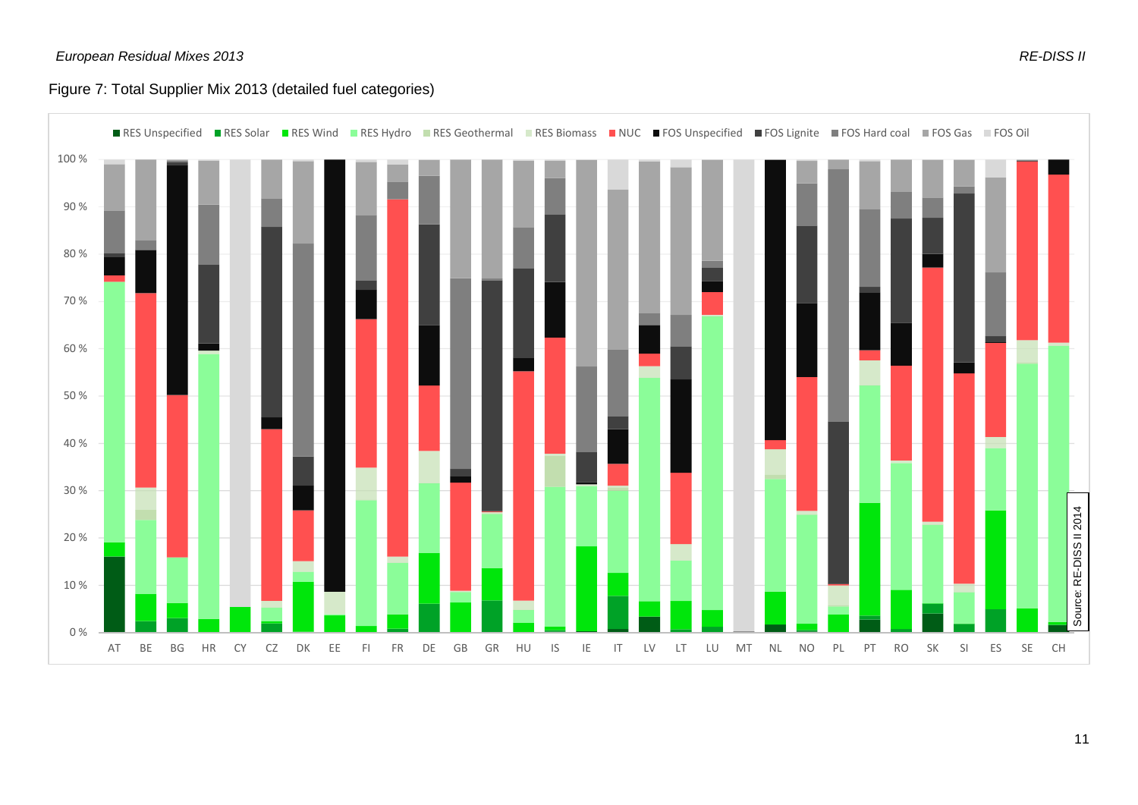## Figure 7: Total Supplier Mix 2013 (detailed fuel categories)

<span id="page-10-0"></span>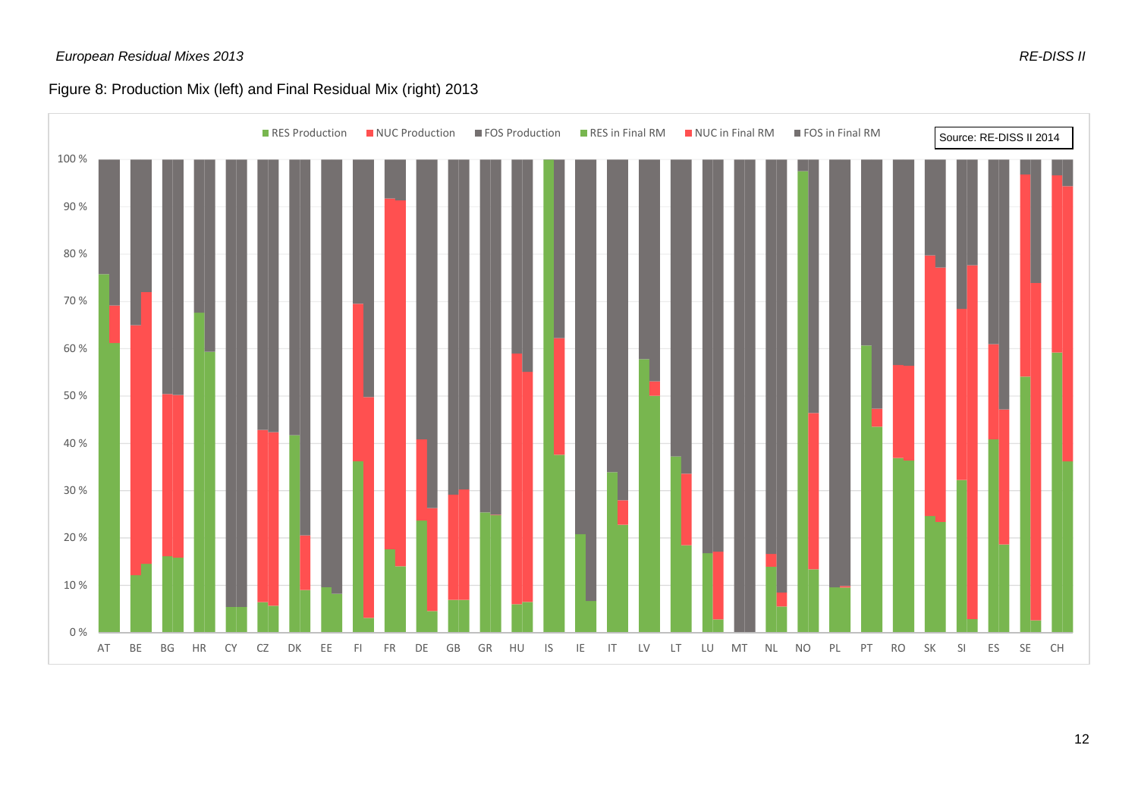#### *European Residual Mixes 2013 RE-DISS II*

## Figure 8: Production Mix (left) and Final Residual Mix (right) 2013

<span id="page-11-0"></span>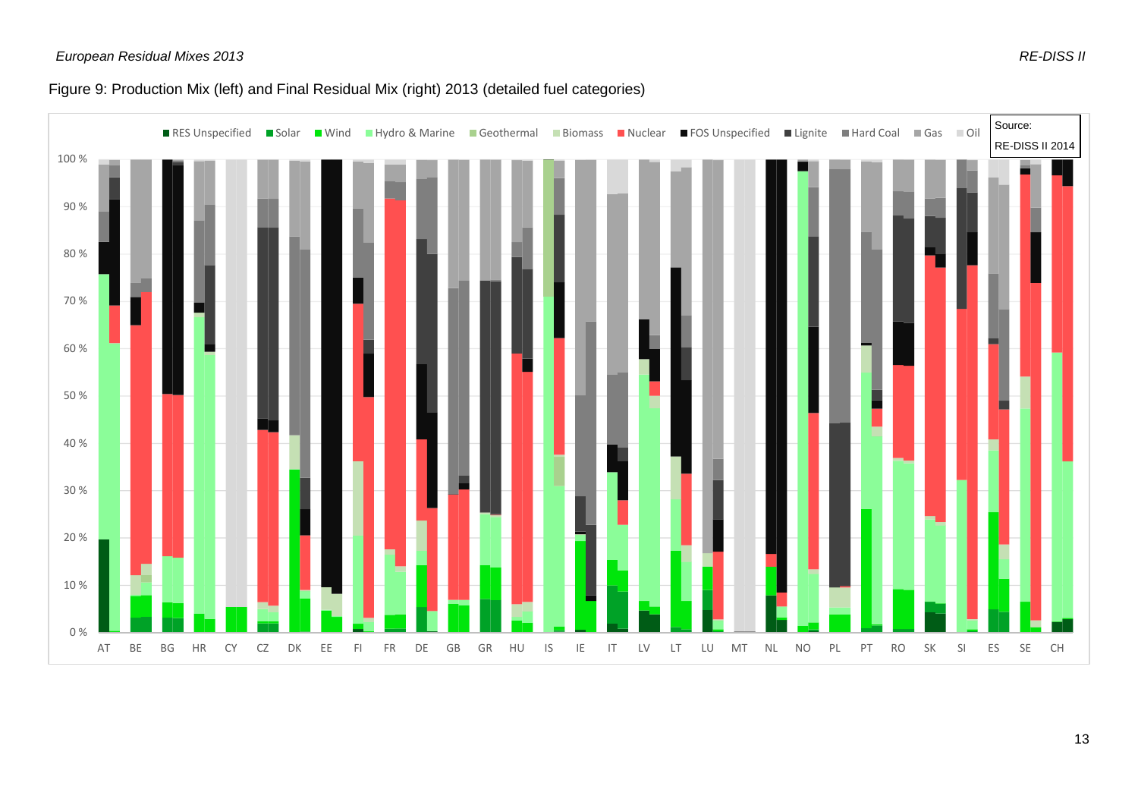## Figure 9: Production Mix (left) and Final Residual Mix (right) 2013 (detailed fuel categories)

<span id="page-12-0"></span>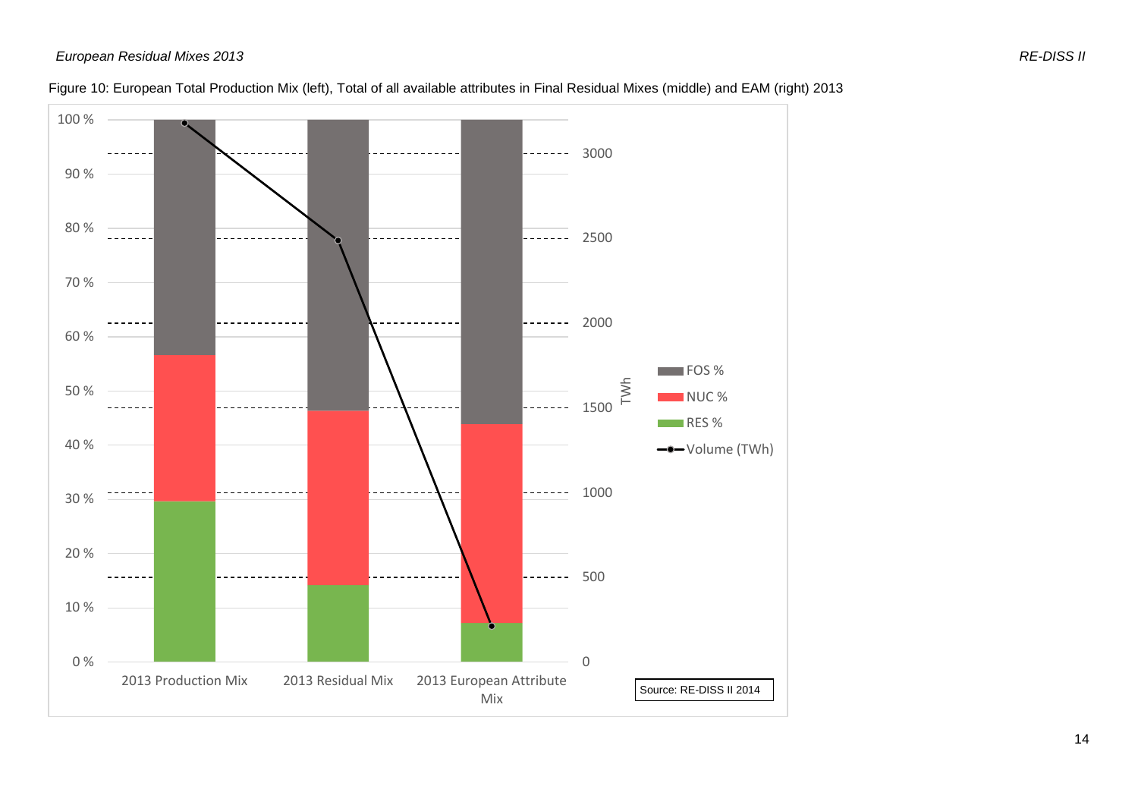<span id="page-13-0"></span>

#### Figure 10: European Total Production Mix (left), Total of all available attributes in Final Residual Mixes (middle) and EAM (right) 2013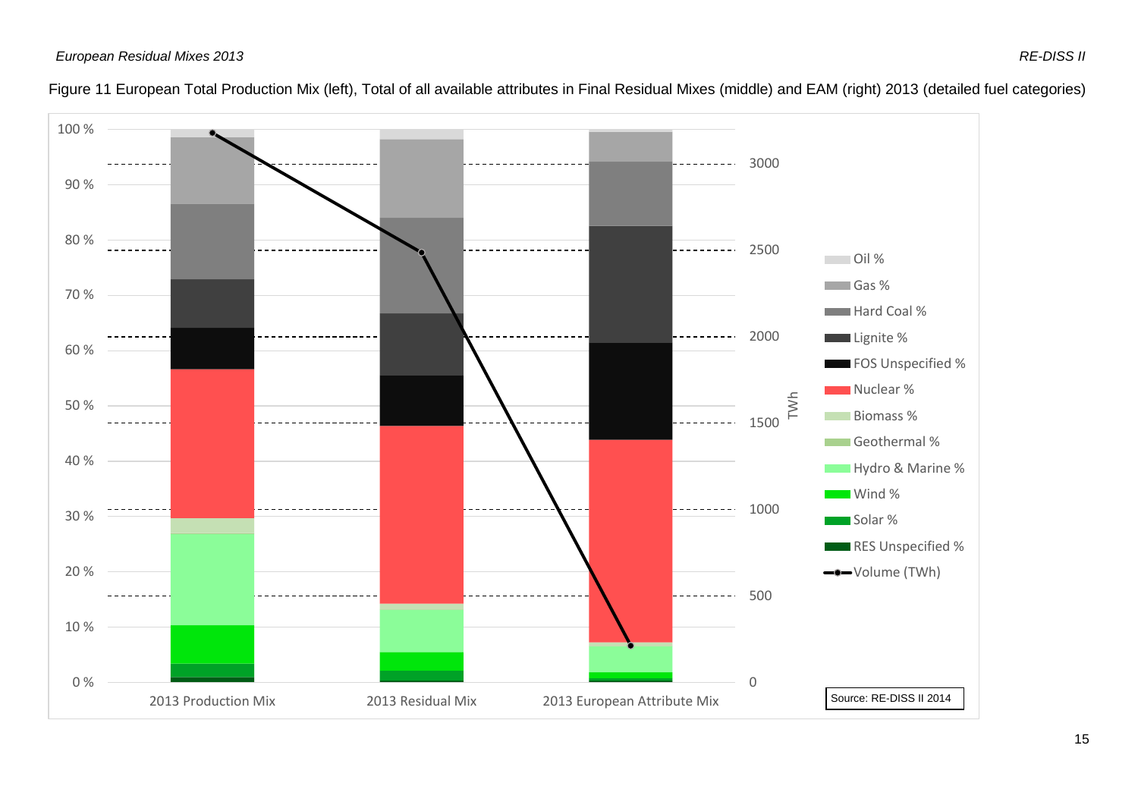<span id="page-14-0"></span>

#### Figure 11 European Total Production Mix (left), Total of all available attributes in Final Residual Mixes (middle) and EAM (right) 2013 (detailed fuel categories)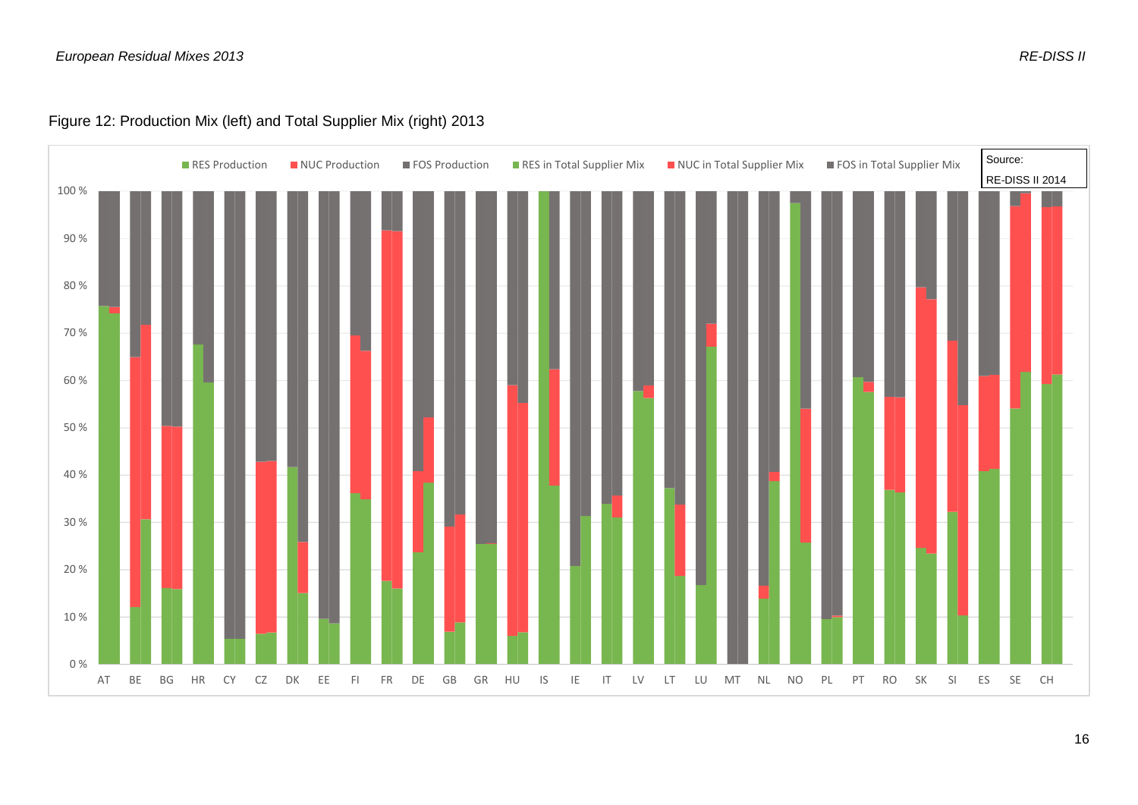## Figure 12: Production Mix (left) and Total Supplier Mix (right) 2013

<span id="page-15-0"></span>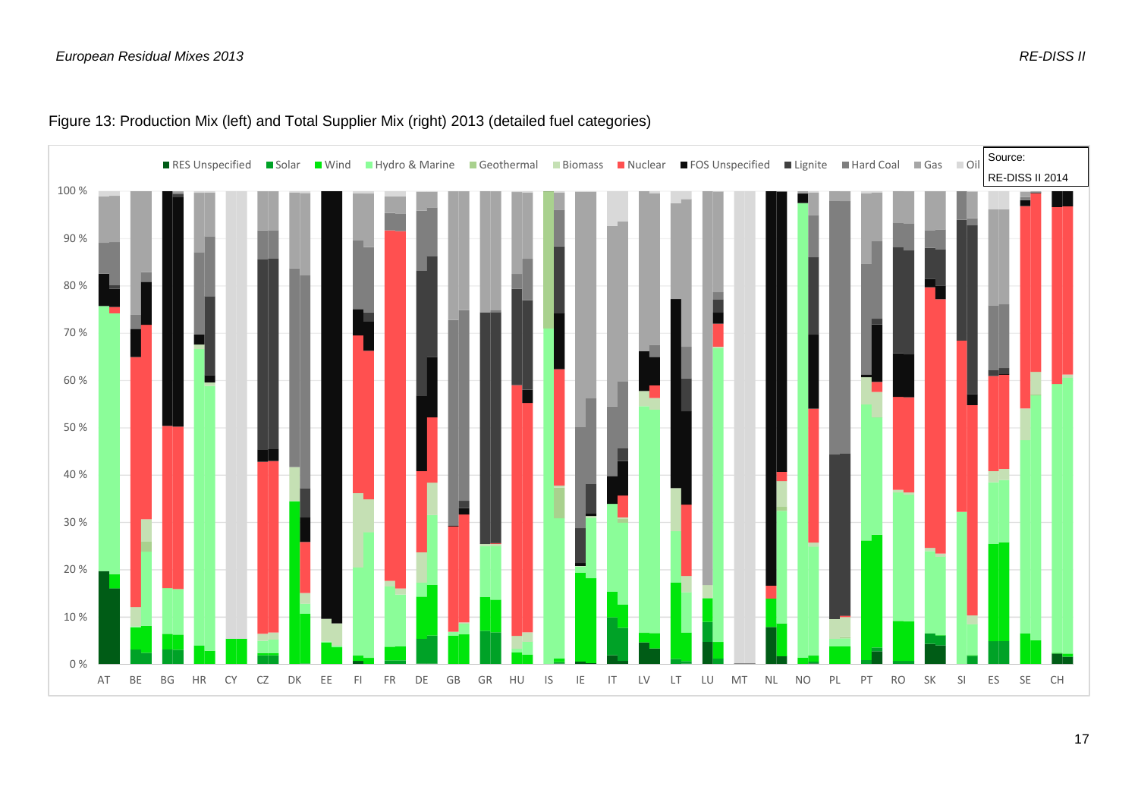<span id="page-16-0"></span>

#### Figure 13: Production Mix (left) and Total Supplier Mix (right) 2013 (detailed fuel categories)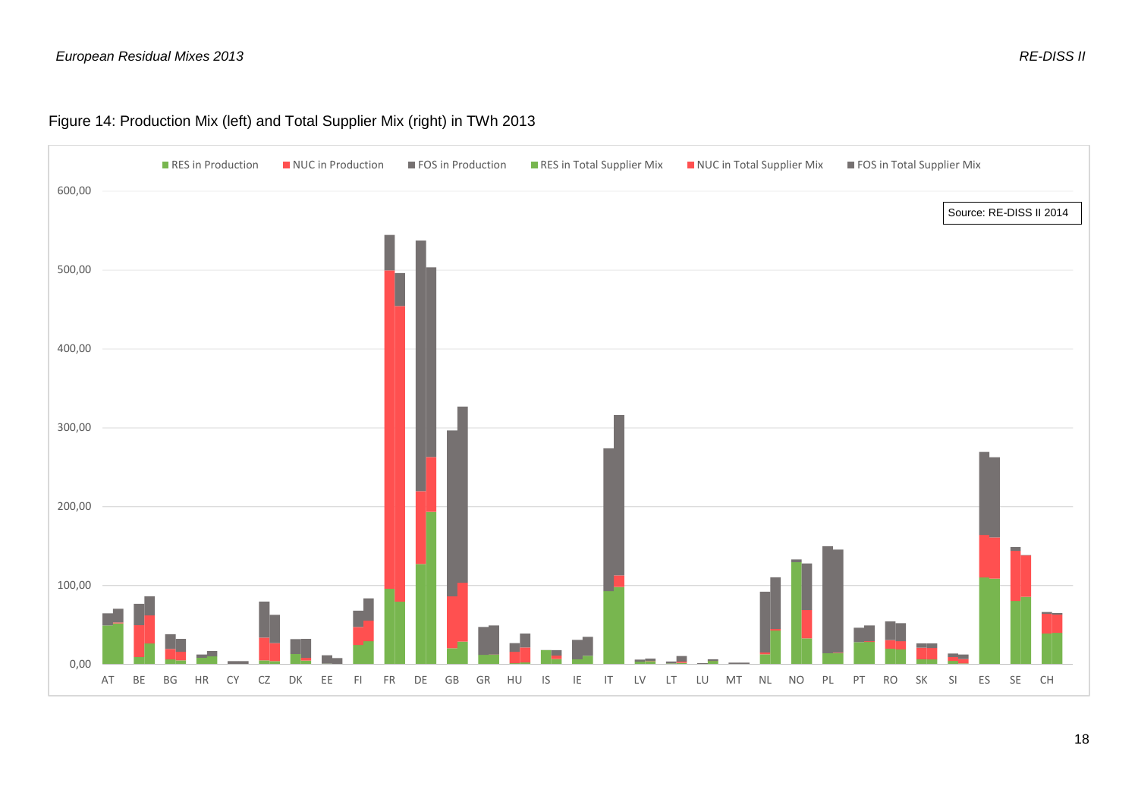## Figure 14: Production Mix (left) and Total Supplier Mix (right) in TWh 2013

<span id="page-17-0"></span>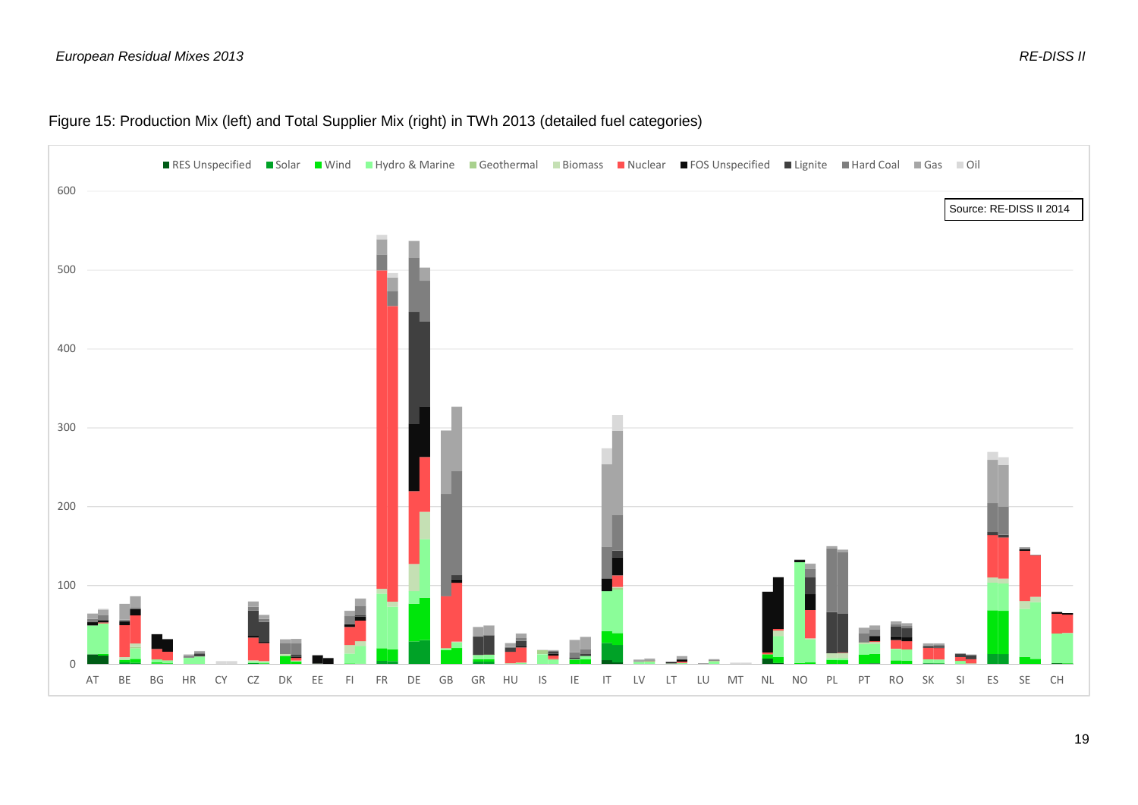## Figure 15: Production Mix (left) and Total Supplier Mix (right) in TWh 2013 (detailed fuel categories)

<span id="page-18-0"></span>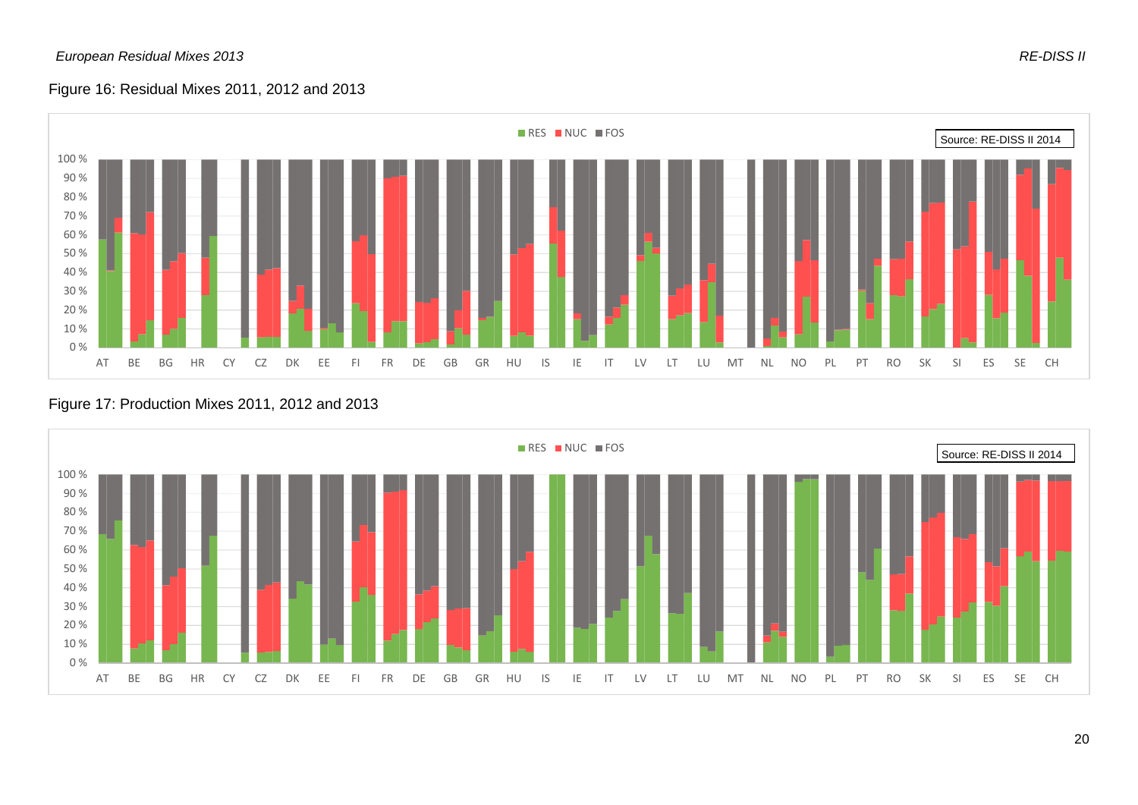## Figure 16: Residual Mixes 2011, 2012 and 2013



<span id="page-19-1"></span><span id="page-19-0"></span>

#### Figure 17: Production Mixes 2011, 2012 and 2013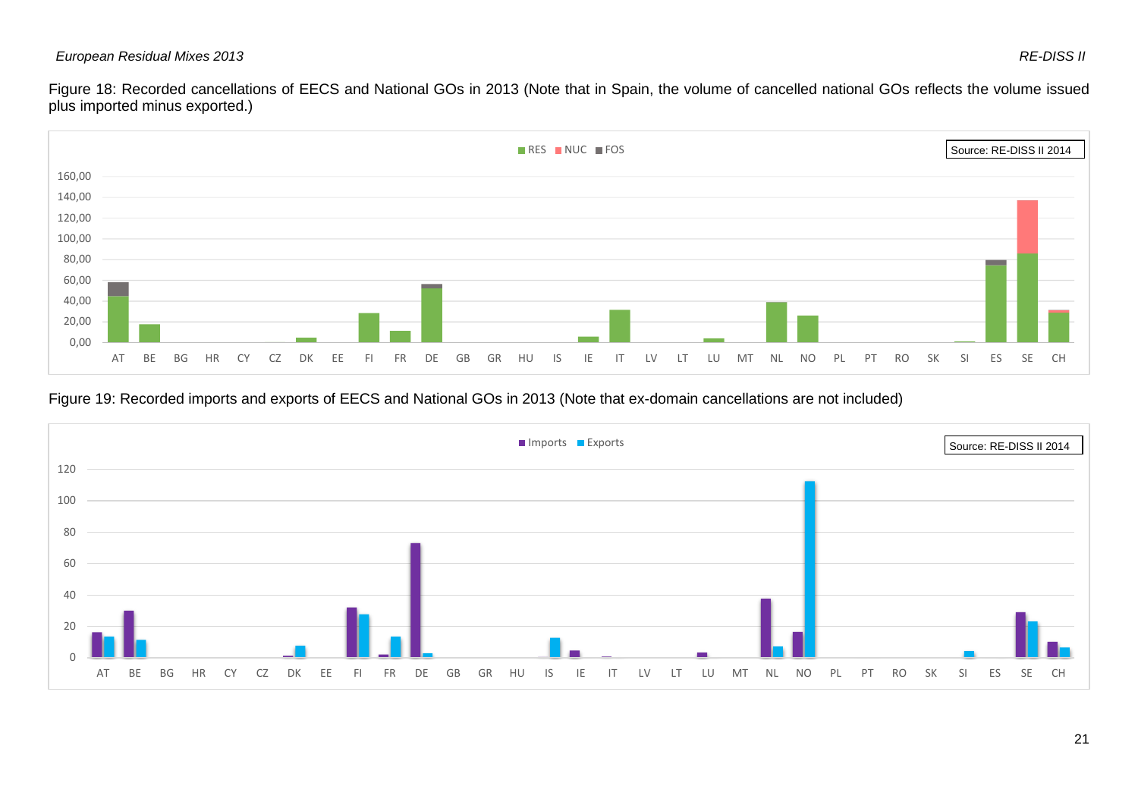#### *European Residual Mixes 2013 RE-DISS II*

Figure 18: Recorded cancellations of EECS and National GOs in 2013 (Note that in Spain, the volume of cancelled national GOs reflects the volume issued plus imported minus exported.)



## Figure 19: Recorded imports and exports of EECS and National GOs in 2013 (Note that ex-domain cancellations are not included)

<span id="page-20-1"></span><span id="page-20-0"></span>